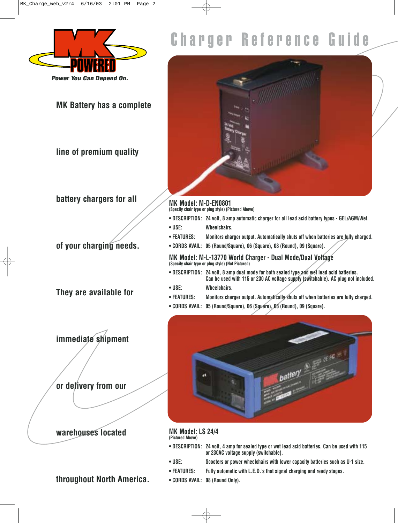

**MK Battery has a complete**

**line of premium quality**

**battery chargers for all** 

**of your charging needs.**

**They are available for**

**immediate shipment** 

**or delivery from our** 

### **warehouses located**

# Charger Reference Guide



**MK Model: M-D-EN0801 (Specify chair type or plug style) (Pictured Above)**

- **DESCRIPTION: 24 volt, 8 amp automatic charger for all lead acid battery types GEL/AGM/Wet.**
- **USE: Wheelchairs.**
- **FEATURES: Monitors charger output. Automatically shuts off when batteries are fully charged.**
- **CORDS AVAIL: 05 (Round/Square), 06 (Square), 08 (Round), 09 (Square).**

**MK Model: M-L-13770 World Charger - Dual Mode/Dual Voltage (Specify chair type or plug style) (Not Pictured)**

- **DESCRIPTION: 24 volt, 8 amp dual mode for both sealed type and wet lead acid batteries. Can be used with 115 or 230 AC voltage supply (switchable). AC plug not included.**
- **USE: Wheelchairs.**
- **FEATURES: Monitors charger output. Automatically shuts off when batteries are fully charged.**
- **CORDS AVAIL: 05 (Round/Square), 06 (Square), 08 (Round), 09 (Square).**



#### **MK Model: LS 24/4 (Pictured Above)**

- **DESCRIPTION: 24 volt, 4 amp for sealed type or wet lead acid batteries. Can be used with 115 or 230AC voltage supply (switchable).**
- - **USE: Scooters or power wheelchairs with lower capacity batteries such as U-1 size. • FEATURES: Fully automatic with L.E.D.'s that signal charging and ready stages.**
	- **CORDS AVAIL: 08 (Round Only).**
- **throughout North America.**